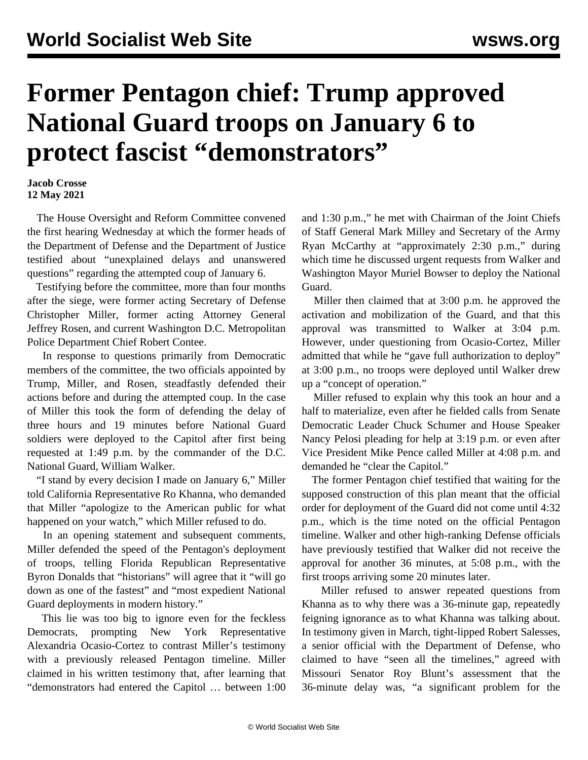## **Former Pentagon chief: Trump approved National Guard troops on January 6 to protect fascist "demonstrators"**

## **Jacob Crosse 12 May 2021**

 The House Oversight and Reform Committee convened the first hearing Wednesday at which the former heads of the Department of Defense and the Department of Justice testified about "unexplained delays and unanswered questions" regarding the attempted coup of January 6.

 Testifying before the committee, more than four months after the siege, were former acting Secretary of Defense Christopher Miller, former acting Attorney General Jeffrey Rosen, and current Washington D.C. Metropolitan Police Department Chief Robert Contee.

 In response to questions primarily from Democratic members of the committee, the two officials appointed by Trump, Miller, and Rosen, steadfastly defended their actions before and during the attempted coup. In the case of Miller this took the form of defending the delay of three hours and 19 minutes before National Guard soldiers were deployed to the Capitol after first being requested at 1:49 p.m. by the commander of the D.C. National Guard, William Walker.

 "I stand by every decision I made on January 6," Miller told California Representative Ro Khanna, who demanded that Miller "apologize to the American public for what happened on your watch," which Miller refused to do.

 In an opening statement and subsequent comments, Miller defended the speed of the Pentagon's deployment of troops, telling Florida Republican Representative Byron Donalds that "historians" will agree that it "will go down as one of the fastest" and "most expedient National Guard deployments in modern history."

 This lie was too big to ignore even for the feckless Democrats, prompting New York Representative Alexandria Ocasio-Cortez to contrast Miller's testimony with a previously released Pentagon timeline. Miller claimed in his written testimony that, after learning that "demonstrators had entered the Capitol … between 1:00 and 1:30 p.m.," he met with Chairman of the Joint Chiefs of Staff General Mark Milley and Secretary of the Army Ryan McCarthy at "approximately 2:30 p.m.," during which time he discussed urgent requests from Walker and Washington Mayor Muriel Bowser to deploy the National Guard.

 Miller then claimed that at 3:00 p.m. he approved the activation and mobilization of the Guard, and that this approval was transmitted to Walker at 3:04 p.m. However, under questioning from Ocasio-Cortez, Miller admitted that while he "gave full authorization to deploy" at 3:00 p.m., no troops were deployed until Walker drew up a "concept of operation."

 Miller refused to explain why this took an hour and a half to materialize, even after he fielded calls from Senate Democratic Leader Chuck Schumer and House Speaker Nancy Pelosi pleading for help at 3:19 p.m. or even after Vice President Mike Pence called Miller at 4:08 p.m. and demanded he "clear the Capitol."

 The former Pentagon chief testified that waiting for the supposed construction of this plan meant that the official order for deployment of the Guard did not come until 4:32 p.m., which is the time noted on the official Pentagon timeline. Walker and other high-ranking Defense officials have previously testified that Walker did not receive the approval for another 36 minutes, at 5:08 p.m., with the first troops arriving some 20 minutes later.

 Miller refused to answer repeated questions from Khanna as to why there was a 36-minute gap, repeatedly feigning ignorance as to what Khanna was talking about. In testimony given in March, tight-lipped Robert Salesses, a senior official with the Department of Defense, who claimed to have "seen all the timelines," agreed with Missouri Senator Roy Blunt's assessment that the 36-minute delay was, "a significant problem for the